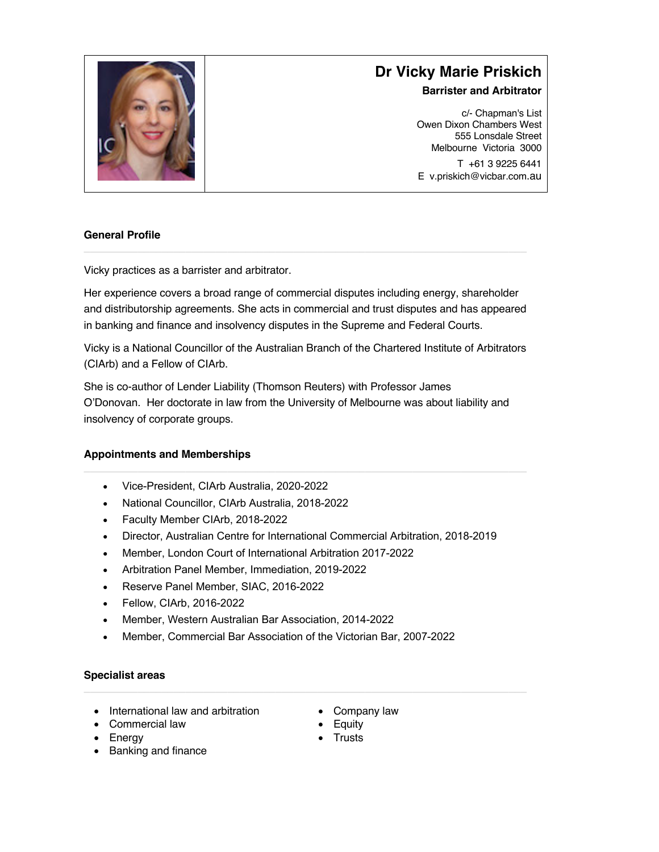

# **Dr Vicky Marie Priskich**

# **Barrister and Arbitrator**

c/- Chapman's List Owen Dixon Chambers West 555 Lonsdale Street Melbourne Victoria 3000 T +61 3 9225 6441 E v.priskich@vicbar.com.au

# **General Profile**

Vicky practices as a barrister and arbitrator.

Her experience covers a broad range of commercial disputes including energy, shareholder and distributorship agreements. She acts in commercial and trust disputes and has appeared in banking and finance and insolvency disputes in the Supreme and Federal Courts.

Vicky is a National Councillor of the Australian Branch of the Chartered Institute of Arbitrators (CIArb) and a Fellow of CIArb.

She is co-author of Lender Liability (Thomson Reuters) with Professor James O'Donovan. Her doctorate in law from the University of Melbourne was about liability and insolvency of corporate groups.

#### **Appointments and Memberships**

- Vice-President, CIArb Australia, 2020-2022
- National Councillor, CIArb Australia, 2018-2022
- Faculty Member CIArb, 2018-2022
- Director, Australian Centre for International Commercial Arbitration, 2018-2019
- Member, London Court of International Arbitration 2017-2022
- Arbitration Panel Member, Immediation, 2019-2022
- Reserve Panel Member, SIAC, 2016-2022
- Fellow, CIArb, 2016-2022
- Member, Western Australian Bar Association, 2014-2022
- Member, Commercial Bar Association of the Victorian Bar, 2007-2022

# **Specialist areas**

- International law and arbitration
- Company law
- Commercial law • Energy
- Banking and finance
- **Equity**
- Trusts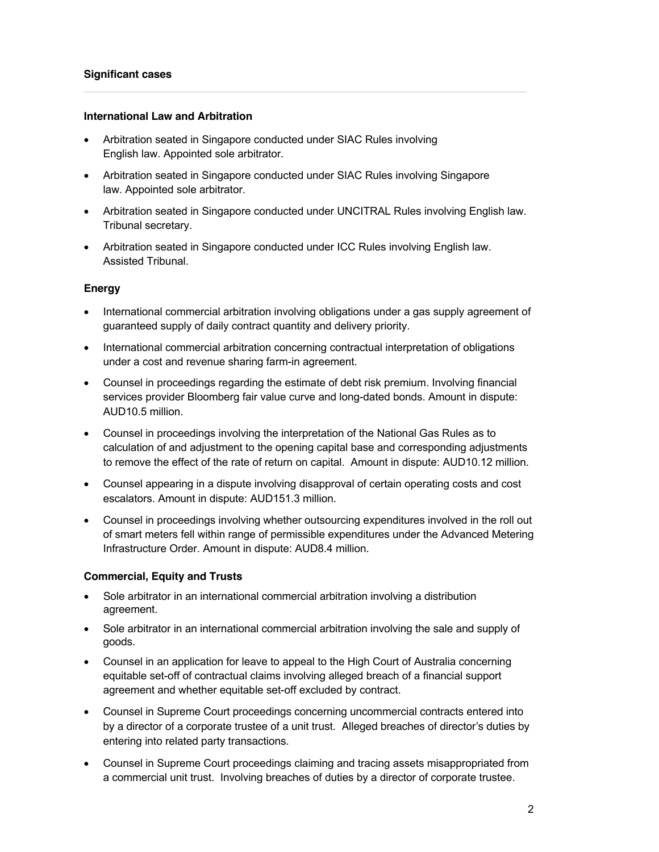## **Significant cases**

#### **International Law and Arbitration**

- Arbitration seated in Singapore conducted under SIAC Rules involving English law. Appointed sole arbitrator.
- Arbitration seated in Singapore conducted under SIAC Rules involving Singapore law. Appointed sole arbitrator.
- Arbitration seated in Singapore conducted under UNCITRAL Rules involving English law. Tribunal secretary.
- Arbitration seated in Singapore conducted under ICC Rules involving English law. Assisted Tribunal.

## **Energy**

- International commercial arbitration involving obligations under a gas supply agreement of guaranteed supply of daily contract quantity and delivery priority.
- International commercial arbitration concerning contractual interpretation of obligations under a cost and revenue sharing farm-in agreement.
- Counsel in proceedings regarding the estimate of debt risk premium. Involving financial services provider Bloomberg fair value curve and long-dated bonds. Amount in dispute: AUD10.5 million.
- Counsel in proceedings involving the interpretation of the National Gas Rules as to calculation of and adjustment to the opening capital base and corresponding adjustments to remove the effect of the rate of return on capital. Amount in dispute: AUD10.12 million.
- Counsel appearing in a dispute involving disapproval of certain operating costs and cost escalators. Amount in dispute: AUD151.3 million.
- Counsel in proceedings involving whether outsourcing expenditures involved in the roll out of smart meters fell within range of permissible expenditures under the Advanced Metering Infrastructure Order. Amount in dispute: AUD8.4 million.

# **Commercial, Equity and Trusts**

- Sole arbitrator in an international commercial arbitration involving a distribution agreement.
- Sole arbitrator in an international commercial arbitration involving the sale and supply of goods.
- Counsel in an application for leave to appeal to the High Court of Australia concerning equitable set-off of contractual claims involving alleged breach of a financial support agreement and whether equitable set-off excluded by contract.
- Counsel in Supreme Court proceedings concerning uncommercial contracts entered into by a director of a corporate trustee of a unit trust. Alleged breaches of director's duties by entering into related party transactions.
- Counsel in Supreme Court proceedings claiming and tracing assets misappropriated from a commercial unit trust. Involving breaches of duties by a director of corporate trustee.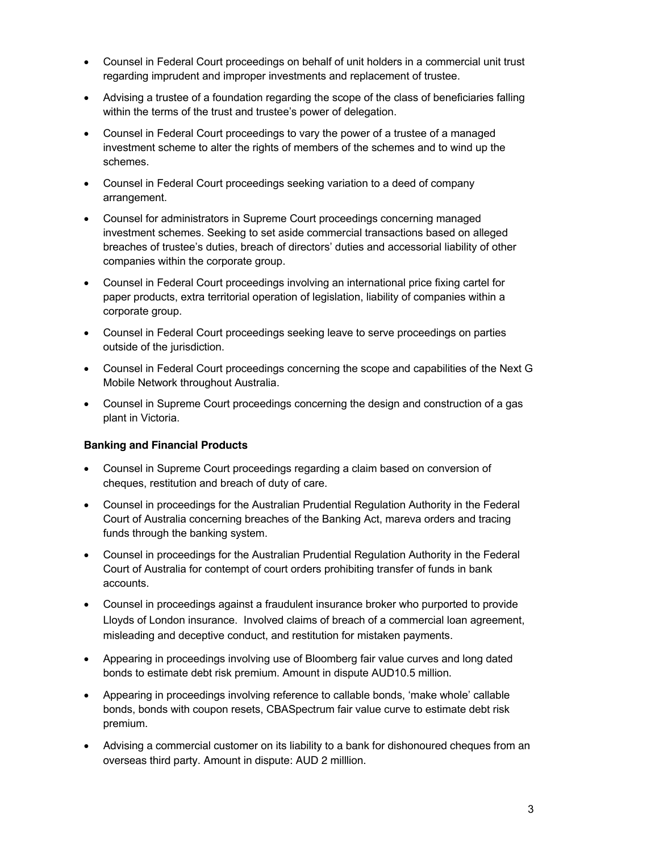- Counsel in Federal Court proceedings on behalf of unit holders in a commercial unit trust regarding imprudent and improper investments and replacement of trustee.
- Advising a trustee of a foundation regarding the scope of the class of beneficiaries falling within the terms of the trust and trustee's power of delegation.
- Counsel in Federal Court proceedings to vary the power of a trustee of a managed investment scheme to alter the rights of members of the schemes and to wind up the schemes.
- Counsel in Federal Court proceedings seeking variation to a deed of company arrangement.
- Counsel for administrators in Supreme Court proceedings concerning managed investment schemes. Seeking to set aside commercial transactions based on alleged breaches of trustee's duties, breach of directors' duties and accessorial liability of other companies within the corporate group.
- Counsel in Federal Court proceedings involving an international price fixing cartel for paper products, extra territorial operation of legislation, liability of companies within a corporate group.
- Counsel in Federal Court proceedings seeking leave to serve proceedings on parties outside of the jurisdiction.
- Counsel in Federal Court proceedings concerning the scope and capabilities of the Next G Mobile Network throughout Australia.
- Counsel in Supreme Court proceedings concerning the design and construction of a gas plant in Victoria.

# **Banking and Financial Products**

- Counsel in Supreme Court proceedings regarding a claim based on conversion of cheques, restitution and breach of duty of care.
- Counsel in proceedings for the Australian Prudential Regulation Authority in the Federal Court of Australia concerning breaches of the Banking Act, mareva orders and tracing funds through the banking system.
- Counsel in proceedings for the Australian Prudential Regulation Authority in the Federal Court of Australia for contempt of court orders prohibiting transfer of funds in bank accounts.
- Counsel in proceedings against a fraudulent insurance broker who purported to provide Lloyds of London insurance. Involved claims of breach of a commercial loan agreement, misleading and deceptive conduct, and restitution for mistaken payments.
- Appearing in proceedings involving use of Bloomberg fair value curves and long dated bonds to estimate debt risk premium. Amount in dispute AUD10.5 million.
- Appearing in proceedings involving reference to callable bonds, 'make whole' callable bonds, bonds with coupon resets, CBASpectrum fair value curve to estimate debt risk premium.
- Advising a commercial customer on its liability to a bank for dishonoured cheques from an overseas third party. Amount in dispute: AUD 2 milllion.